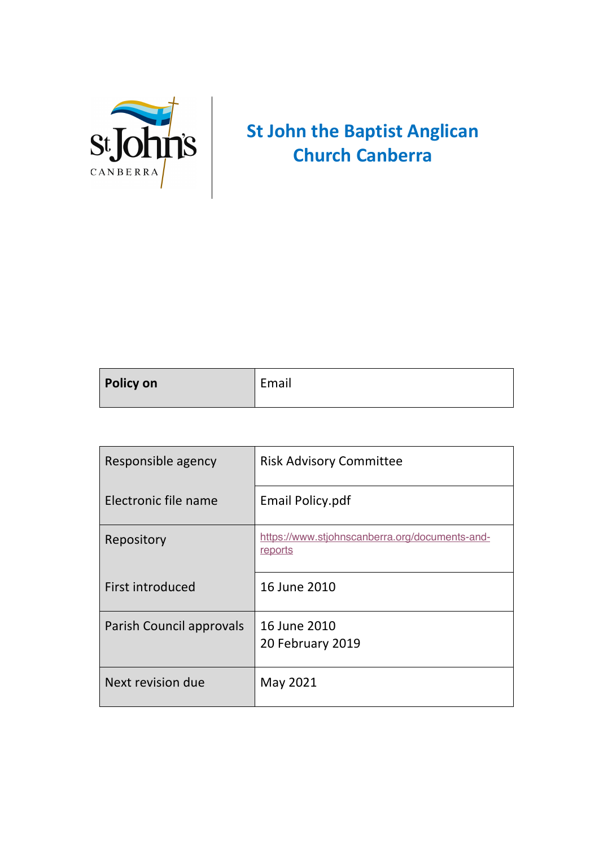

## **St John the Baptist Anglican Church Canberra**

| <b>Policy on</b> | Email |
|------------------|-------|
|                  |       |

| Responsible agency       | <b>Risk Advisory Committee</b>                            |
|--------------------------|-----------------------------------------------------------|
| Electronic file name     | Email Policy.pdf                                          |
| Repository               | https://www.stjohnscanberra.org/documents-and-<br>reports |
| First introduced         | 16 June 2010                                              |
| Parish Council approvals | 16 June 2010<br>20 February 2019                          |
| Next revision due        | May 2021                                                  |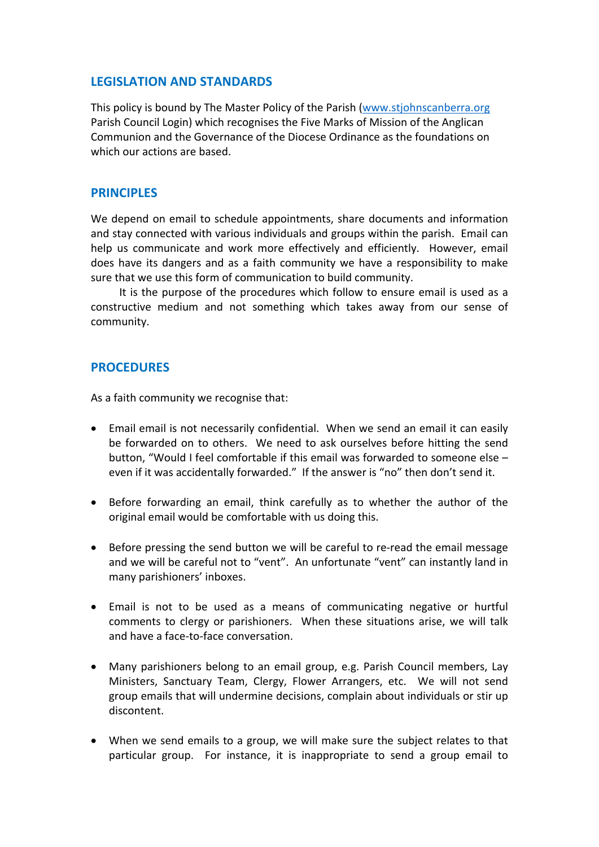## **LEGISLATION AND STANDARDS**

This policy is bound by The Master Policy of the Parish (www.stjohnscanberra.org Parish Council Login) which recognises the Five Marks of Mission of the Anglican Communion and the Governance of the Diocese Ordinance as the foundations on which our actions are based.

## **PRINCIPLES**

We depend on email to schedule appointments, share documents and information and stay connected with various individuals and groups within the parish. Email can help us communicate and work more effectively and efficiently. However, email does have its dangers and as a faith community we have a responsibility to make sure that we use this form of communication to build community.

It is the purpose of the procedures which follow to ensure email is used as a constructive medium and not something which takes away from our sense of community.

## **PROCEDURES**

As a faith community we recognise that:

- Email email is not necessarily confidential. When we send an email it can easily be forwarded on to others. We need to ask ourselves before hitting the send button, "Would I feel comfortable if this email was forwarded to someone else – even if it was accidentally forwarded." If the answer is "no" then don't send it.
- Before forwarding an email, think carefully as to whether the author of the original email would be comfortable with us doing this.
- Before pressing the send button we will be careful to re-read the email message and we will be careful not to "vent". An unfortunate "vent" can instantly land in many parishioners' inboxes.
- Email is not to be used as a means of communicating negative or hurtful comments to clergy or parishioners. When these situations arise, we will talk and have a face-to-face conversation.
- Many parishioners belong to an email group, e.g. Parish Council members, Lay Ministers, Sanctuary Team, Clergy, Flower Arrangers, etc. We will not send group emails that will undermine decisions, complain about individuals or stir up discontent.
- When we send emails to a group, we will make sure the subject relates to that particular group. For instance, it is inappropriate to send a group email to